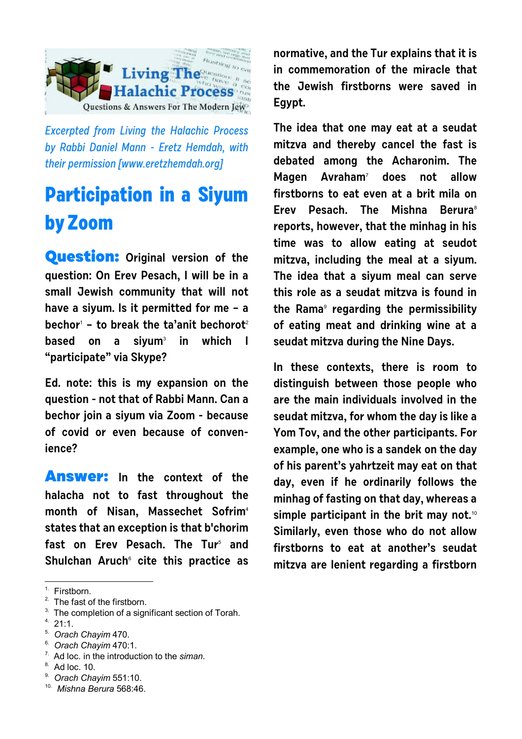

Excerpted from Living the Halachic Process by Rabbi Daniel Mann - Eretz Hemdah, with their permission [[www.eretzhemdah.org\]](http://www.eretzhemdah.org)

## **Participation in a Siyum by Zoom**

**Question: Original version of the question: On Erev Pesach, I will be in a small Jewish community that will not have a siyum. Is it permitted for me – a bechor**<sup>1</sup>  **– to break the ta'anit bechorot**<sup>2</sup> **based on a siyum**<sup>3</sup>  **in which I "participate" via Skype?**

**Ed. note: this is my expansion on the question - not that of Rabbi Mann. Can a bechor join a siyum via Zoom - because of covid or even because of convenience?**

**Answer: In the context of the halacha not to fast throughout the month of Nisan, Massechet Sofrim**<sup>4</sup> **states that an exception is that b'chorim fast on Erev Pesach. The Tur**<sup>5</sup>  **and Shulchan Aruch**<sup>6</sup>  **cite this practice as**

 $2.$  The fast of the firstborn.

 $4.21:1.$ 

- 7. Ad loc. in the introduction to the *siman*.
- 8. Ad loc. 10.
- 9. *Orach Chayim* 551:10.

**normative, and the Tur explains that it is in commemoration of the miracle that the Jewish firstborns were saved in Egypt.**

**The idea that one may eat at a seudat mitzva and thereby cancel the fast is debated among the Acharonim. The Magen Avraham**<sup>7</sup>  **does not allow firstborns to eat even at a brit mila on Erev Pesach. The Mishna Berura**<sup>8</sup> **reports, however, that the minhag in his time was to allow eating at seudot mitzva, including the meal at a siyum. The idea that a siyum meal can serve this role as a seudat mitzva is found in the Rama**<sup>9</sup>  **regarding the permissibility of eating meat and drinking wine at a seudat mitzva during the Nine Days.**

**In these contexts, there is room to distinguish between those people who are the main individuals involved in the seudat mitzva, for whom the day is like a Yom Tov, and the other participants. For example, one who is a sandek on the day of his parent's yahrtzeit may eat on that day, even if he ordinarily follows the minhag of fasting on that day, whereas a simple participant in the brit may not.**<sup>10</sup> **Similarly, even those who do not allow firstborns to eat at another's seudat mitzva are lenient regarding a firstborn**

<sup>&</sup>lt;sup>1.</sup> Firstborn.

<sup>&</sup>lt;sup>3.</sup> The completion of a significant section of Torah.

<sup>5.</sup> *Orach Chayim* 470.

<sup>6.</sup> *Orach Chayim* 470:1.

<sup>10.</sup> *Mishna Berura* 568:46.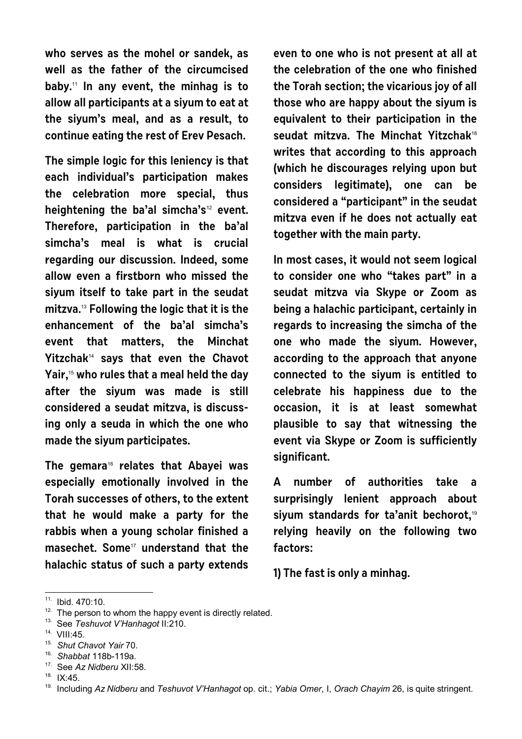**who serves as the mohel or sandek, as well as the father of the circumcised baby.**11 **In any event, the minhag is to allow all participants at a siyum to eat at the siyum's meal, and as a result, to continue eating the rest of Erev Pesach.** 

**The simple logic for this leniency is that each individual's participation makes the celebration more special, thus heightening the ba'al simcha's**12 **event. Therefore, participation in the ba'al simcha's meal is what is crucial regarding our discussion. Indeed, some allow even a firstborn who missed the siyum itself to take part in the seudat mitzva.**13 **Following the logic that it is the enhancement of the ba'al simcha's event that matters, the Minchat Yitzchak**14 **says that even the Chavot Yair,**15 **who rules that a meal held the day after the siyum was made is still considered a seudat mitzva, is discussing only a seuda in which the one who made the siyum participates.** 

**The gemara**16 **relates that Abayei was especially emotionally involved in the Torah successes of others, to the extent that he would make a party for the rabbis when a young scholar finished a masechet. Some**17 **understand that the halachic status of such a party extends** **even to one who is not present at all at the celebration of the one who finished the Torah section; the vicarious joy of all those who are happy about the siyum is equivalent to their participation in the seudat mitzva. The Minchat Yitzchak**<sup>18</sup> **writes that according to this approach (which he discourages relying upon but considers legitimate), one can be considered a "participant" in the seudat mitzva even if he does not actually eat together with the main party.**

**In most cases, it would not seem logical to consider one who "takes part" in a seudat mitzva via Skype or Zoom as being a halachic participant, certainly in regards to increasing the simcha of the one who made the siyum. However, according to the approach that anyone connected to the siyum is entitled to celebrate his happiness due to the occasion, it is at least somewhat plausible to say that witnessing the event via Skype or Zoom is sufficiently significant.** 

**A number of authorities take a surprisingly lenient approach about siyum standards for ta'anit bechorot,**<sup>19</sup> **relying heavily on the following two factors:** 

**1) The fast is only a minhag.** 

<sup>11.</sup> Ibid. 470:10.

 $12$ . The person to whom the happy event is directly related.

<sup>13.</sup> See *Teshuvot V'Hanhagot* II:210.

<sup>14.</sup> VIII:45.

<sup>15.</sup> *Shut Chavot Yair* 70.

<sup>16.</sup> *Shabbat* 118b-119a.

<sup>17.</sup> See *Az Nidberu* XII:58.

 $18.$  IX:45.

<sup>19.</sup> Including *Az Nidberu* and *Teshuvot V'Hanhagot* op. cit.; *Yabia Omer*, I, *Orach Chayim* 26, is quite stringent.